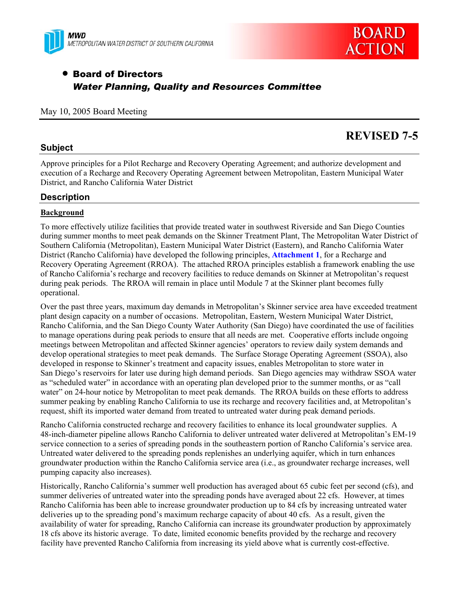



# • Board of Directors *Water Planning, Quality and Resources Committee*

#### May 10, 2005 Board Meeting

# **REVISED 7-5**

# **Subject**

Approve principles for a Pilot Recharge and Recovery Operating Agreement; and authorize development and execution of a Recharge and Recovery Operating Agreement between Metropolitan, Eastern Municipal Water District, and Rancho California Water District

# **Description**

# **Background**

To more effectively utilize facilities that provide treated water in southwest Riverside and San Diego Counties during summer months to meet peak demands on the Skinner Treatment Plant, The Metropolitan Water District of Southern California (Metropolitan), Eastern Municipal Water District (Eastern), and Rancho California Water District (Rancho California) have developed the following principles, **Attachment 1**, for a Recharge and Recovery Operating Agreement (RROA). The attached RROA principles establish a framework enabling the use of Rancho California's recharge and recovery facilities to reduce demands on Skinner at Metropolitan's request during peak periods. The RROA will remain in place until Module 7 at the Skinner plant becomes fully operational.

Over the past three years, maximum day demands in Metropolitan's Skinner service area have exceeded treatment plant design capacity on a number of occasions. Metropolitan, Eastern, Western Municipal Water District, Rancho California, and the San Diego County Water Authority (San Diego) have coordinated the use of facilities to manage operations during peak periods to ensure that all needs are met. Cooperative efforts include ongoing meetings between Metropolitan and affected Skinner agencies' operators to review daily system demands and develop operational strategies to meet peak demands. The Surface Storage Operating Agreement (SSOA), also developed in response to Skinner's treatment and capacity issues, enables Metropolitan to store water in San Diego's reservoirs for later use during high demand periods. San Diego agencies may withdraw SSOA water as "scheduled water" in accordance with an operating plan developed prior to the summer months, or as "call water" on 24-hour notice by Metropolitan to meet peak demands. The RROA builds on these efforts to address summer peaking by enabling Rancho California to use its recharge and recovery facilities and, at Metropolitan's request, shift its imported water demand from treated to untreated water during peak demand periods.

Rancho California constructed recharge and recovery facilities to enhance its local groundwater supplies. A 48-inch-diameter pipeline allows Rancho California to deliver untreated water delivered at Metropolitan's EM-19 service connection to a series of spreading ponds in the southeastern portion of Rancho California's service area. Untreated water delivered to the spreading ponds replenishes an underlying aquifer, which in turn enhances groundwater production within the Rancho California service area (i.e., as groundwater recharge increases, well pumping capacity also increases).

Historically, Rancho California's summer well production has averaged about 65 cubic feet per second (cfs), and summer deliveries of untreated water into the spreading ponds have averaged about 22 cfs. However, at times Rancho California has been able to increase groundwater production up to 84 cfs by increasing untreated water deliveries up to the spreading pond's maximum recharge capacity of about 40 cfs. As a result, given the availability of water for spreading, Rancho California can increase its groundwater production by approximately 18 cfs above its historic average. To date, limited economic benefits provided by the recharge and recovery facility have prevented Rancho California from increasing its yield above what is currently cost-effective.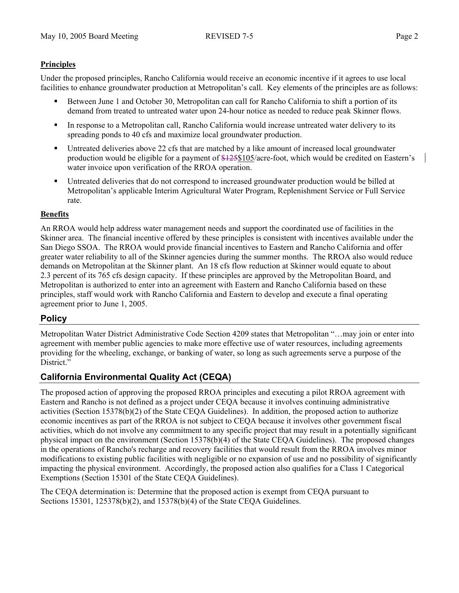# **Principles**

Under the proposed principles, Rancho California would receive an economic incentive if it agrees to use local facilities to enhance groundwater production at Metropolitan's call. Key elements of the principles are as follows:

- Between June 1 and October 30, Metropolitan can call for Rancho California to shift a portion of its demand from treated to untreated water upon 24-hour notice as needed to reduce peak Skinner flows.
- In response to a Metropolitan call, Rancho California would increase untreated water delivery to its spreading ponds to 40 cfs and maximize local groundwater production.
- Untreated deliveries above 22 cfs that are matched by a like amount of increased local groundwater production would be eligible for a payment of \$125\$105/acre-foot, which would be credited on Eastern's water invoice upon verification of the RROA operation.
- Untreated deliveries that do not correspond to increased groundwater production would be billed at Metropolitan's applicable Interim Agricultural Water Program, Replenishment Service or Full Service rate.

# **Benefits**

An RROA would help address water management needs and support the coordinated use of facilities in the Skinner area. The financial incentive offered by these principles is consistent with incentives available under the San Diego SSOA. The RROA would provide financial incentives to Eastern and Rancho California and offer greater water reliability to all of the Skinner agencies during the summer months. The RROA also would reduce demands on Metropolitan at the Skinner plant. An 18 cfs flow reduction at Skinner would equate to about 2.3 percent of its 765 cfs design capacity. If these principles are approved by the Metropolitan Board, and Metropolitan is authorized to enter into an agreement with Eastern and Rancho California based on these principles, staff would work with Rancho California and Eastern to develop and execute a final operating agreement prior to June 1, 2005.

# **Policy**

Metropolitan Water District Administrative Code Section 4209 states that Metropolitan "…may join or enter into agreement with member public agencies to make more effective use of water resources, including agreements providing for the wheeling, exchange, or banking of water, so long as such agreements serve a purpose of the District."

# **California Environmental Quality Act (CEQA)**

The proposed action of approving the proposed RROA principles and executing a pilot RROA agreement with Eastern and Rancho is not defined as a project under CEQA because it involves continuing administrative activities (Section 15378(b)(2) of the State CEQA Guidelines). In addition, the proposed action to authorize economic incentives as part of the RROA is not subject to CEQA because it involves other government fiscal activities, which do not involve any commitment to any specific project that may result in a potentially significant physical impact on the environment (Section 15378(b)(4) of the State CEQA Guidelines). The proposed changes in the operations of Rancho's recharge and recovery facilities that would result from the RROA involves minor modifications to existing public facilities with negligible or no expansion of use and no possibility of significantly impacting the physical environment. Accordingly, the proposed action also qualifies for a Class 1 Categorical Exemptions (Section 15301 of the State CEQA Guidelines).

The CEQA determination is: Determine that the proposed action is exempt from CEQA pursuant to Sections 15301, 125378(b)(2), and 15378(b)(4) of the State CEQA Guidelines.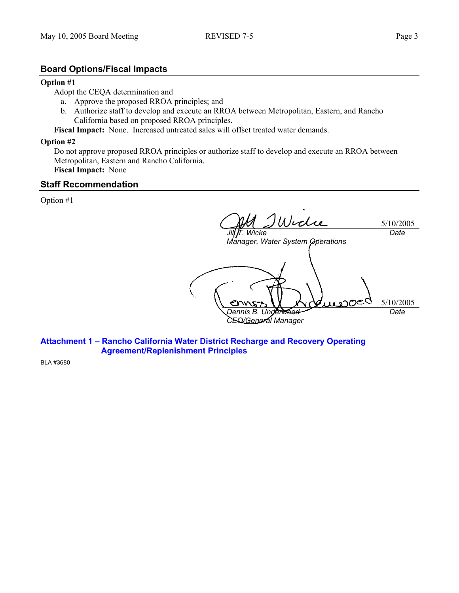### **Board Options/Fiscal Impacts**

#### **Option #1**

Adopt the CEQA determination and

- a. Approve the proposed RROA principles; and
- b. Authorize staff to develop and execute an RROA between Metropolitan, Eastern, and Rancho California based on proposed RROA principles.

**Fiscal Impact:** None. Increased untreated sales will offset treated water demands.

#### **Option #2**

Do not approve proposed RROA principles or authorize staff to develop and execute an RROA between Metropolitan, Eastern and Rancho California. **Fiscal Impact:** None

**Staff Recommendation** 

Option #1

5/10/2005 *Jill T. Wicke Manager, Water System Operations Date*  5/10/2005 *Dennis B. Underwood CEO/General Manager Date* 

**Attachment 1 – Rancho California Water District Recharge and Recovery Operating Agreement/Replenishment Principles** 

BLA #3680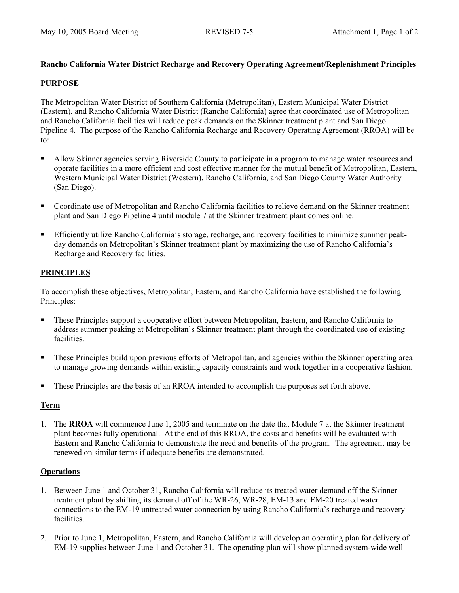# **Rancho California Water District Recharge and Recovery Operating Agreement/Replenishment Principles**

# **PURPOSE**

The Metropolitan Water District of Southern California (Metropolitan), Eastern Municipal Water District (Eastern), and Rancho California Water District (Rancho California) agree that coordinated use of Metropolitan and Rancho California facilities will reduce peak demands on the Skinner treatment plant and San Diego Pipeline 4. The purpose of the Rancho California Recharge and Recovery Operating Agreement (RROA) will be to:

- Allow Skinner agencies serving Riverside County to participate in a program to manage water resources and operate facilities in a more efficient and cost effective manner for the mutual benefit of Metropolitan, Eastern, Western Municipal Water District (Western), Rancho California, and San Diego County Water Authority (San Diego).
- Coordinate use of Metropolitan and Rancho California facilities to relieve demand on the Skinner treatment plant and San Diego Pipeline 4 until module 7 at the Skinner treatment plant comes online.
- Efficiently utilize Rancho California's storage, recharge, and recovery facilities to minimize summer peakday demands on Metropolitan's Skinner treatment plant by maximizing the use of Rancho California's Recharge and Recovery facilities.

# **PRINCIPLES**

To accomplish these objectives, Metropolitan, Eastern, and Rancho California have established the following Principles:

- These Principles support a cooperative effort between Metropolitan, Eastern, and Rancho California to address summer peaking at Metropolitan's Skinner treatment plant through the coordinated use of existing facilities.
- These Principles build upon previous efforts of Metropolitan, and agencies within the Skinner operating area to manage growing demands within existing capacity constraints and work together in a cooperative fashion.
- These Principles are the basis of an RROA intended to accomplish the purposes set forth above.

# **Term**

1. The **RROA** will commence June 1, 2005 and terminate on the date that Module 7 at the Skinner treatment plant becomes fully operational. At the end of this RROA, the costs and benefits will be evaluated with Eastern and Rancho California to demonstrate the need and benefits of the program. The agreement may be renewed on similar terms if adequate benefits are demonstrated.

# **Operations**

- 1. Between June 1 and October 31, Rancho California will reduce its treated water demand off the Skinner treatment plant by shifting its demand off of the WR-26, WR-28, EM-13 and EM-20 treated water connections to the EM-19 untreated water connection by using Rancho California's recharge and recovery facilities.
- 2. Prior to June 1, Metropolitan, Eastern, and Rancho California will develop an operating plan for delivery of EM-19 supplies between June 1 and October 31. The operating plan will show planned system-wide well